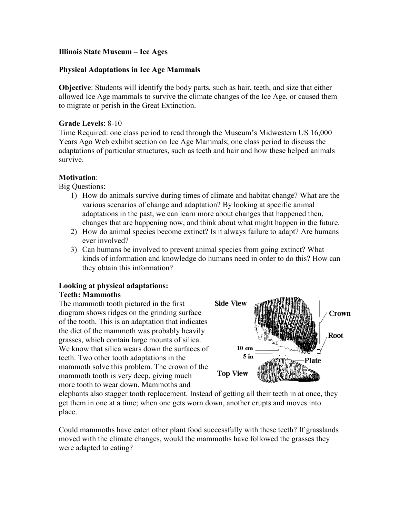# **Illinois State Museum – Ice Ages**

## **Physical Adaptations in Ice Age Mammals**

**Objective**: Students will identify the body parts, such as hair, teeth, and size that either allowed Ice Age mammals to survive the climate changes of the Ice Age, or caused them to migrate or perish in the Great Extinction.

## **Grade Levels**: 8-10

Time Required: one class period to read through the Museum's Midwestern US 16,000 Years Ago Web exhibit section on Ice Age Mammals; one class period to discuss the adaptations of particular structures, such as teeth and hair and how these helped animals survive.

## **Motivation**:

Big Questions:

- 1) How do animals survive during times of climate and habitat change? What are the various scenarios of change and adaptation? By looking at specific animal adaptations in the past, we can learn more about changes that happened then, changes that are happening now, and think about what might happen in the future.
- 2) How do animal species become extinct? Is it always failure to adapt? Are humans ever involved?
- 3) Can humans be involved to prevent animal species from going extinct? What kinds of information and knowledge do humans need in order to do this? How can they obtain this information?

#### **Looking at physical adaptations: Teeth: Mammoths**

The mammoth tooth pictured in the first diagram shows ridges on the grinding surface of the tooth. This is an adaptation that indicates the diet of the mammoth was probably heavily grasses, which contain large mounts of silica. We know that silica wears down the surfaces of teeth. Two other tooth adaptations in the mammoth solve this problem. The crown of the mammoth tooth is very deep, giving much more tooth to wear down. Mammoths and



elephants also stagger tooth replacement. Instead of getting all their teeth in at once, they get them in one at a time; when one gets worn down, another erupts and moves into place.

Could mammoths have eaten other plant food successfully with these teeth? If grasslands moved with the climate changes, would the mammoths have followed the grasses they were adapted to eating?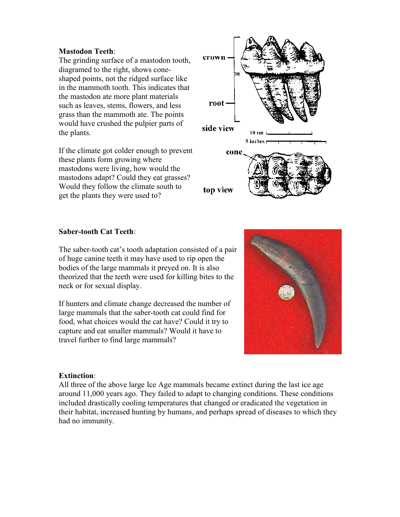## **Mastodon Teeth**:

The grinding surface of a mastodon tooth, diagramed to the right, shows coneshaped points, not the ridged surface like in the mammoth tooth. This indicates that the mastodon ate more plant materials such as leaves, stems, flowers, and less grass than the mammoth ate. The points would have crushed the pulpier parts of the plants.

If the climate got colder enough to prevent these plants form growing where mastodons were living, how would the mastodons adapt? Could they eat grasses? Would they follow the climate south to get the plants they were used to?



#### **Saber-tooth Cat Teeth**:

The saber-tooth cat's tooth adaptation consisted of a pair of huge canine teeth it may have used to rip open the bodies of the large mammals it preyed on. It is also theorized that the teeth were used for killing bites to the neck or for sexual display.

If hunters and climate change decreased the number of large mammals that the saber-tooth cat could find for food, what choices would the cat have? Could it try to capture and eat smaller mammals? Would it have to travel further to find large mammals?



#### **Extinction**:

All three of the above large Ice Age mammals became extinct during the last ice age around 11,000 years ago. They failed to adapt to changing conditions. These conditions included drastically cooling temperatures that changed or eradicated the vegetation in their habitat, increased hunting by humans, and perhaps spread of diseases to which they had no immunity.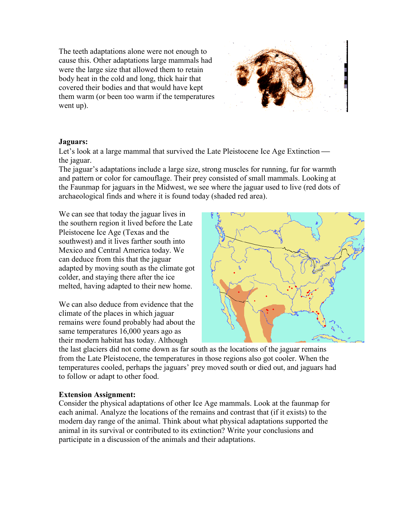The teeth adaptations alone were not enough to cause this. Other adaptations large mammals had were the large size that allowed them to retain body heat in the cold and long, thick hair that covered their bodies and that would have kept them warm (or been too warm if the temperatures went up).



## **Jaguars:**

Let's look at a large mammal that survived the Late Pleistocene Ice Age Extinction the jaguar.

The jaguar's adaptations include a large size, strong muscles for running, fur for warmth and pattern or color for camouflage. Their prey consisted of small mammals. Looking at the Faunmap for jaguars in the Midwest, we see where the jaguar used to live (red dots of archaeological finds and where it is found today (shaded red area).

We can see that today the jaguar lives in the southern region it lived before the Late Pleistocene Ice Age (Texas and the southwest) and it lives farther south into Mexico and Central America today. We can deduce from this that the jaguar adapted by moving south as the climate got colder, and staying there after the ice melted, having adapted to their new home.

We can also deduce from evidence that the climate of the places in which jaguar remains were found probably had about the same temperatures 16,000 years ago as their modern habitat has today. Although



the last glaciers did not come down as far south as the locations of the jaguar remains from the Late Pleistocene, the temperatures in those regions also got cooler. When the temperatures cooled, perhaps the jaguars' prey moved south or died out, and jaguars had to follow or adapt to other food.

## **Extension Assignment:**

Consider the physical adaptations of other Ice Age mammals. Look at the faunmap for each animal. Analyze the locations of the remains and contrast that (if it exists) to the modern day range of the animal. Think about what physical adaptations supported the animal in its survival or contributed to its extinction? Write your conclusions and participate in a discussion of the animals and their adaptations.